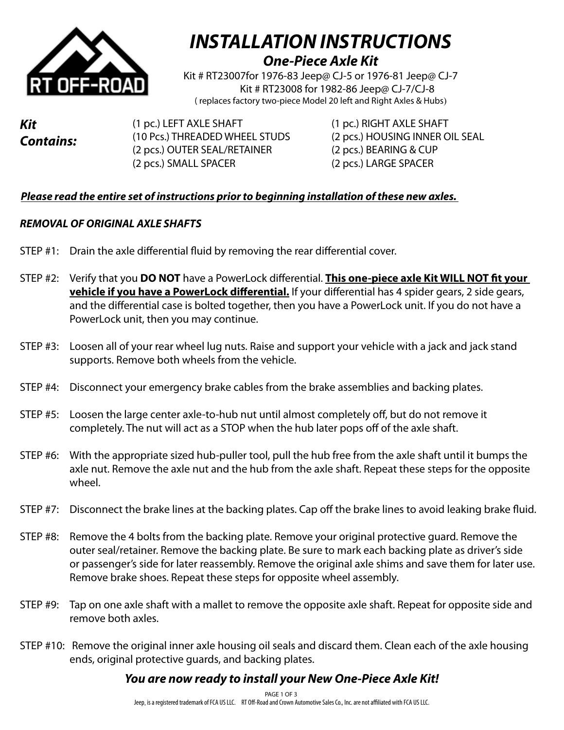

## *INSTALLATION INSTRUCTIONS One-Piece Axle Kit*

Kit # RT23007for 1976-83 Jeep@ CJ-5 or 1976-81 Jeep@ CJ-7 Kit # RT23008 for 1982-86 Jeep@ CJ-7/CJ-8 ( replaces factory two-piece Model 20 left and Right Axles & Hubs)

*Kit Contains:* 

(1 pc.) LEFT AXLE SHAFT (1 pc.) RIGHT AXLE SHAFT (2 pcs.) OUTER SEAL/RETAINER (2 pcs.) BEARING & CUP (2 pcs.) SMALL SPACER (2 pcs.) LARGE SPACER

(10 Pcs.) THREADED WHEEL STUDS (2 pcs.) HOUSING INNER OIL SEAL

#### *Please read the entire set of instructions prior to beginning installation of these new axles.*

#### *REMOVAL OF ORIGINAL AXLE SHAFTS*

- STEP #1: Drain the axle differential fluid by removing the rear differential cover.
- STEP #2: Verify that you **DO NOT** have a PowerLock differential. **This one-piece axle Kit WILL NOT fit your vehicle if you have a PowerLock differential.** If your differential has 4 spider gears, 2 side gears, and the differential case is bolted together, then you have a PowerLock unit. If you do not have a PowerLock unit, then you may continue.
- STEP #3: Loosen all of your rear wheel lug nuts. Raise and support your vehicle with a jack and jack stand supports. Remove both wheels from the vehicle.
- STEP #4: Disconnect your emergency brake cables from the brake assemblies and backing plates.
- STEP #5: Loosen the large center axle-to-hub nut until almost completely off, but do not remove it completely. The nut will act as a STOP when the hub later pops off of the axle shaft.
- STEP #6: With the appropriate sized hub-puller tool, pull the hub free from the axle shaft until it bumps the axle nut. Remove the axle nut and the hub from the axle shaft. Repeat these steps for the opposite wheel.
- STEP #7: Disconnect the brake lines at the backing plates. Cap off the brake lines to avoid leaking brake fluid.
- STEP #8: Remove the 4 bolts from the backing plate. Remove your original protective guard. Remove the outer seal/retainer. Remove the backing plate. Be sure to mark each backing plate as driver's side or passenger's side for later reassembly. Remove the original axle shims and save them for later use. Remove brake shoes. Repeat these steps for opposite wheel assembly.
- STEP #9: Tap on one axle shaft with a mallet to remove the opposite axle shaft. Repeat for opposite side and remove both axles.
- STEP #10: Remove the original inner axle housing oil seals and discard them. Clean each of the axle housing ends, original protective guards, and backing plates.

## *You are now ready to install your New One-Piece Axle Kit!*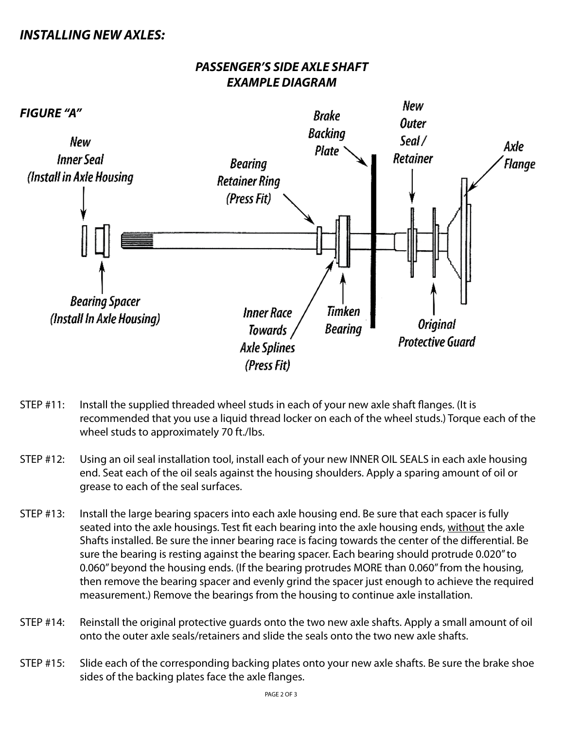### *INSTALLING NEW AXLES:*

#### *PASSENGER'S SIDE AXLE SHAFT EXAMPLE DIAGRAM*



- STEP #11: Install the supplied threaded wheel studs in each of your new axle shaft flanges. (It is recommended that you use a liquid thread locker on each of the wheel studs.) Torque each of the wheel studs to approximately 70 ft./lbs.
- STEP #12: Using an oil seal installation tool, install each of your new INNER OIL SEALS in each axle housing end. Seat each of the oil seals against the housing shoulders. Apply a sparing amount of oil or grease to each of the seal surfaces.
- STEP #13: Install the large bearing spacers into each axle housing end. Be sure that each spacer is fully seated into the axle housings. Test fit each bearing into the axle housing ends, without the axle Shafts installed. Be sure the inner bearing race is facing towards the center of the differential. Be sure the bearing is resting against the bearing spacer. Each bearing should protrude 0.020" to 0.060" beyond the housing ends. (If the bearing protrudes MORE than 0.060" from the housing, then remove the bearing spacer and evenly grind the spacer just enough to achieve the required measurement.) Remove the bearings from the housing to continue axle installation.
- STEP #14: Reinstall the original protective guards onto the two new axle shafts. Apply a small amount of oil onto the outer axle seals/retainers and slide the seals onto the two new axle shafts.
- STEP #15: Slide each of the corresponding backing plates onto your new axle shafts. Be sure the brake shoe sides of the backing plates face the axle flanges.